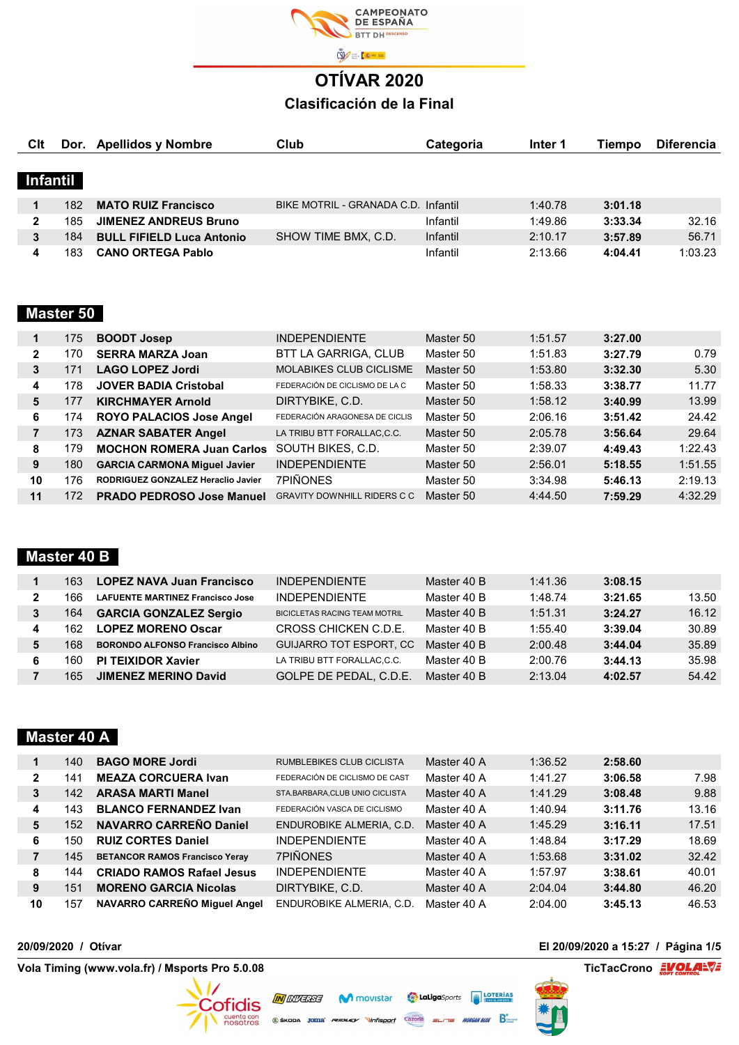

| CIt      |     | Dor. Apellidos y Nombre          | Club                                | Categoria | Inter 1 | Tiempo  | <b>Diferencia</b> |
|----------|-----|----------------------------------|-------------------------------------|-----------|---------|---------|-------------------|
|          |     |                                  |                                     |           |         |         |                   |
| Infantil |     |                                  |                                     |           |         |         |                   |
|          | 182 | <b>MATO RUIZ Francisco</b>       | BIKE MOTRIL - GRANADA C.D. Infantil |           | 1:40.78 | 3:01.18 |                   |
| 2        | 185 | <b>JIMENEZ ANDREUS Bruno</b>     |                                     | Infantil  | 1:49.86 | 3:33.34 | 32.16             |
| 3        | 184 | <b>BULL FIFIELD Luca Antonio</b> | SHOW TIME BMX, C.D.                 | Infantil  | 2:10.17 | 3:57.89 | 56.71             |
| 4        | 183 | <b>CANO ORTEGA Pablo</b>         |                                     | Infantil  | 2:13.66 | 4:04.41 | 1:03.23           |

## Master 50

| 1              | 175 | <b>BOODT Josep</b>                  | <b>INDEPENDIENTE</b>               | Master 50 | 1:51.57 | 3:27.00 |         |
|----------------|-----|-------------------------------------|------------------------------------|-----------|---------|---------|---------|
| $\mathbf{2}$   | 170 | <b>SERRA MARZA Joan</b>             | BTT LA GARRIGA, CLUB               | Master 50 | 1:51.83 | 3:27.79 | 0.79    |
| 3              | 171 | <b>LAGO LOPEZ Jordi</b>             | <b>MOLABIKES CLUB CICLISME</b>     | Master 50 | 1:53.80 | 3:32.30 | 5.30    |
| 4              | 178 | <b>JOVER BADIA Cristobal</b>        | FEDERACIÓN DE CICLISMO DE LA C     | Master 50 | 1:58.33 | 3:38.77 | 11.77   |
| 5              | 177 | <b>KIRCHMAYER Arnold</b>            | DIRTYBIKE, C.D.                    | Master 50 | 1:58.12 | 3:40.99 | 13.99   |
| 6              | 174 | <b>ROYO PALACIOS Jose Angel</b>     | FEDERACIÓN ARAGONESA DE CICLIS     | Master 50 | 2:06.16 | 3:51.42 | 24.42   |
| $\overline{7}$ | 173 | <b>AZNAR SABATER Angel</b>          | LA TRIBU BTT FORALLAC.C.C.         | Master 50 | 2:05.78 | 3:56.64 | 29.64   |
| 8              | 179 | <b>MOCHON ROMERA Juan Carlos</b>    | SOUTH BIKES, C.D.                  | Master 50 | 2:39.07 | 4:49.43 | 1:22.43 |
| 9              | 180 | <b>GARCIA CARMONA Miguel Javier</b> | <b>INDEPENDIENTE</b>               | Master 50 | 2:56.01 | 5:18.55 | 1:51.55 |
| 10             | 176 | RODRIGUEZ GONZALEZ Heraclio Javier  | 7PIÑONES                           | Master 50 | 3:34.98 | 5:46.13 | 2:19.13 |
| 11             | 172 | <b>PRADO PEDROSO Jose Manuel</b>    | <b>GRAVITY DOWNHILL RIDERS C C</b> | Master 50 | 4:44.50 | 7:59.29 | 4:32.29 |
|                |     |                                     |                                    |           |         |         |         |

## Master 40 B

|   | 163 | <b>LOPEZ NAVA Juan Francisco</b>        | <b>INDEPENDIENTE</b>                 | Master 40 B | 1:41.36 | 3:08.15 |       |
|---|-----|-----------------------------------------|--------------------------------------|-------------|---------|---------|-------|
| 2 | 166 | <b>LAFUENTE MARTINEZ Francisco Jose</b> | <b>INDEPENDIENTE</b>                 | Master 40 B | 1:48.74 | 3:21.65 | 13.50 |
| 3 | 164 | <b>GARCIA GONZALEZ Sergio</b>           | <b>BICICLETAS RACING TEAM MOTRIL</b> | Master 40 B | 1:51.31 | 3:24.27 | 16.12 |
| 4 | 162 | <b>LOPEZ MORENO Oscar</b>               | CROSS CHICKEN C.D.E.                 | Master 40 B | 1:55.40 | 3:39.04 | 30.89 |
| 5 | 168 | <b>BORONDO ALFONSO Francisco Albino</b> | <b>GUIJARRO TOT ESPORT. CC</b>       | Master 40 B | 2:00.48 | 3:44.04 | 35.89 |
| 6 | 160 | <b>PI TEIXIDOR Xavier</b>               | LA TRIBU BTT FORALLAC,C.C.           | Master 40 B | 2:00.76 | 3:44.13 | 35.98 |
|   | 165 | <b>JIMENEZ MERINO David</b>             | GOLPE DE PEDAL, C.D.E.               | Master 40 B | 2:13.04 | 4:02.57 | 54.42 |
|   |     |                                         |                                      |             |         |         |       |

### Master 40 A

| 1            | 140 | <b>BAGO MORE Jordi</b>                | RUMBLEBIKES CLUB CICLISTA       | Master 40 A | 1:36.52 | 2:58.60 |       |
|--------------|-----|---------------------------------------|---------------------------------|-------------|---------|---------|-------|
| $\mathbf{2}$ | 141 | <b>MEAZA CORCUERA Ivan</b>            | FEDERACIÓN DE CICLISMO DE CAST  | Master 40 A | 1:41.27 | 3:06.58 | 7.98  |
| 3            | 142 | <b>ARASA MARTI Manel</b>              | STA.BARBARA, CLUB UNIO CICLISTA | Master 40 A | 1:41.29 | 3:08.48 | 9.88  |
| 4            | 143 | <b>BLANCO FERNANDEZ Ivan</b>          | FEDERACIÓN VASCA DE CICLISMO    | Master 40 A | 1:40.94 | 3:11.76 | 13.16 |
| 5            | 152 | <b>NAVARRO CARREÑO Daniel</b>         | ENDUROBIKE ALMERIA, C.D.        | Master 40 A | 1:45.29 | 3:16.11 | 17.51 |
| 6            | 150 | <b>RUIZ CORTES Daniel</b>             | <b>INDEPENDIENTE</b>            | Master 40 A | 1:48.84 | 3:17.29 | 18.69 |
| 7            | 145 | <b>BETANCOR RAMOS Francisco Yeray</b> | <b>7PIÑONES</b>                 | Master 40 A | 1:53.68 | 3:31.02 | 32.42 |
| 8            | 144 | <b>CRIADO RAMOS Rafael Jesus</b>      | <b>INDEPENDIENTE</b>            | Master 40 A | 1:57.97 | 3:38.61 | 40.01 |
| 9            | 151 | <b>MORENO GARCIA Nicolas</b>          | DIRTYBIKE, C.D.                 | Master 40 A | 2:04.04 | 3:44.80 | 46.20 |
| 10           | 157 | NAVARRO CARREÑO Miquel Angel          | ENDUROBIKE ALMERIA, C.D.        | Master 40 A | 2:04.00 | 3:45.13 | 46.53 |

M movistar

Cazorla

**IN** *INVERSE* 

 $\circledast$ škoda Joma' *reidley* 

Cofidis cuenta con

**Contained Act Exports** (THE) LOTERÍAS

**MORGAN BLUE** 

المستعدد المستعدد المستعدد المستعدد المستعدد المستعدد المستعدد المستعدد المستعدد المستعدد المستعدد المستعدد ال<br>المستعدد المستعدد المستعدد المستعدد المستعدد المستعدد المستعدد المستعدد المستعدد المستعدد المستعدد المستعدد

#### 20/09/2020 / Otívar El 20/09/2020 a 15:27 / Página 1/5

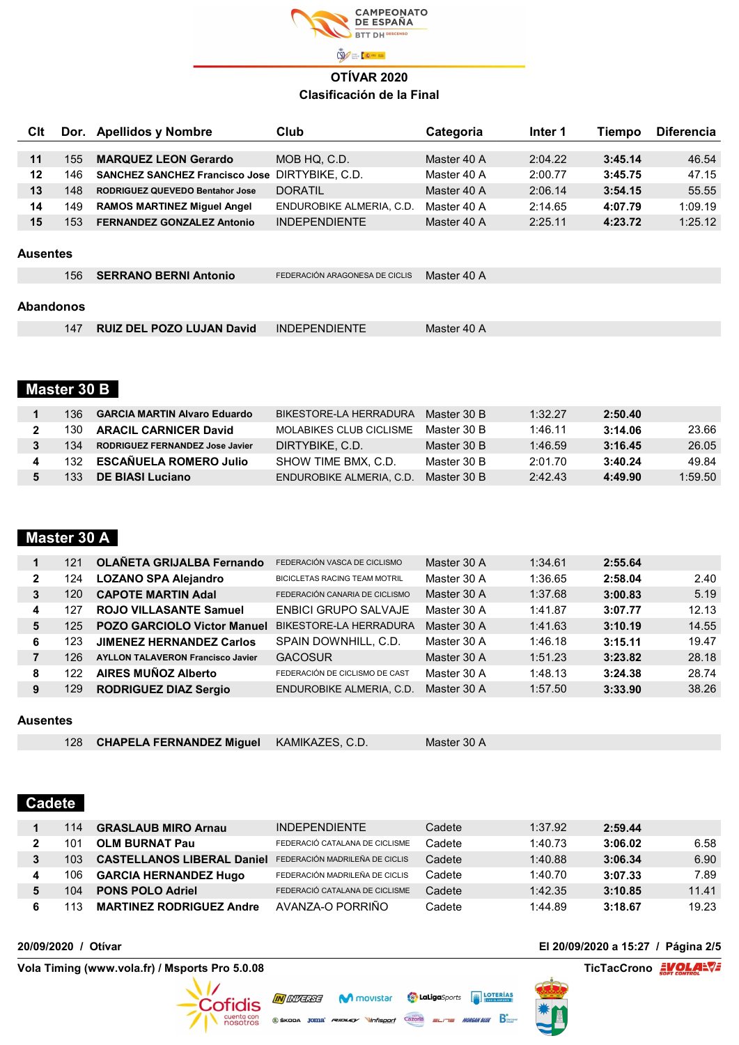

| CIt             | Dor. | <b>Apellidos y Nombre</b>                             | Club                           | Categoria   | Inter 1 | Tiempo  | <b>Diferencia</b> |
|-----------------|------|-------------------------------------------------------|--------------------------------|-------------|---------|---------|-------------------|
|                 |      |                                                       |                                |             |         |         |                   |
| 11              | 155  | <b>MARQUEZ LEON Gerardo</b>                           | MOB HQ. C.D.                   | Master 40 A | 2:04.22 | 3:45.14 | 46.54             |
| 12              | 146  | <b>SANCHEZ SANCHEZ Francisco Jose DIRTYBIKE, C.D.</b> |                                | Master 40 A | 2:00.77 | 3:45.75 | 47.15             |
| 13              | 148  | <b>RODRIGUEZ QUEVEDO Bentahor Jose</b>                | <b>DORATIL</b>                 | Master 40 A | 2:06.14 | 3:54.15 | 55.55             |
| 14              | 149  | <b>RAMOS MARTINEZ Miquel Angel</b>                    | ENDUROBIKE ALMERIA, C.D.       | Master 40 A | 2:14.65 | 4:07.79 | 1:09.19           |
| 15              | 153  | <b>FERNANDEZ GONZALEZ Antonio</b>                     | <b>INDEPENDIENTE</b>           | Master 40 A | 2:25.11 | 4:23.72 | 1:25.12           |
| <b>Ausentes</b> |      |                                                       |                                |             |         |         |                   |
|                 | 156  | <b>SERRANO BERNI Antonio</b>                          | FEDERACIÓN ARAGONESA DE CICLIS | Master 40 A |         |         |                   |

#### Abandonos

| 147 | RUIZ DEL POZO LUJAN David INDEPENDIENTE | Master 40 A |
|-----|-----------------------------------------|-------------|
|     |                                         |             |

## Master 30 B

| 136 | <b>GARCIA MARTIN Alvaro Eduardo</b>    | BIKESTORE-LA HERRADURA   | Master 30 B | 1:32.27 | 2:50.40 |         |
|-----|----------------------------------------|--------------------------|-------------|---------|---------|---------|
| 130 | <b>ARACIL CARNICER David</b>           | MOLABIKES CLUB CICLISME  | Master 30 B | 1:46.11 | 3:14.06 | 23.66   |
| 134 | <b>RODRIGUEZ FERNANDEZ Jose Javier</b> | DIRTYBIKE, C.D.          | Master 30 B | 1:46.59 | 3:16.45 | 26.05   |
| 132 | <b>ESCAÑUELA ROMERO Julio</b>          | SHOW TIME BMX, C.D.      | Master 30 B | 2:01.70 | 3:40.24 | 49.84   |
| 133 | DE BIASI Luciano                       | ENDUROBIKE ALMERIA, C.D. | Master 30 B | 2:42.43 | 4:49.90 | 1:59.50 |

## Master 30 A

|   | 121 | <b>OLAÑETA GRIJALBA Fernando</b>         | FEDERACIÓN VASCA DE CICLISMO         | Master 30 A | 1:34.61 | 2:55.64 |       |
|---|-----|------------------------------------------|--------------------------------------|-------------|---------|---------|-------|
| 2 | 124 | <b>LOZANO SPA Alejandro</b>              | <b>BICICLETAS RACING TEAM MOTRIL</b> | Master 30 A | 1:36.65 | 2:58.04 | 2.40  |
| 3 | 120 | <b>CAPOTE MARTIN Adal</b>                | FEDERACIÓN CANARIA DE CICLISMO       | Master 30 A | 1:37.68 | 3:00.83 | 5.19  |
| 4 | 127 | <b>ROJO VILLASANTE Samuel</b>            | <b>ENBICI GRUPO SALVAJE</b>          | Master 30 A | 1:41.87 | 3:07.77 | 12.13 |
| 5 | 125 | <b>POZO GARCIOLO Victor Manuel</b>       | BIKESTORE-LA HERRADURA               | Master 30 A | 1:41.63 | 3:10.19 | 14.55 |
| 6 | 123 | <b>JIMENEZ HERNANDEZ Carlos</b>          | SPAIN DOWNHILL, C.D.                 | Master 30 A | 1:46.18 | 3:15.11 | 19.47 |
|   | 126 | <b>AYLLON TALAVERON Francisco Javier</b> | <b>GACOSUR</b>                       | Master 30 A | 1:51.23 | 3:23.82 | 28.18 |
| 8 | 122 | <b>AIRES MUÑOZ Alberto</b>               | FEDERACIÓN DE CICLISMO DE CAST       | Master 30 A | 1:48.13 | 3:24.38 | 28.74 |
| 9 | 129 | <b>RODRIGUEZ DIAZ Sergio</b>             | ENDUROBIKE ALMERIA, C.D.             | Master 30 A | 1:57.50 | 3:33.90 | 38.26 |

#### Ausentes

|  | 128 CHAPELA FERNANDEZ Miguel KAMIKAZES, C.D. |  | Master 30 A |
|--|----------------------------------------------|--|-------------|
|--|----------------------------------------------|--|-------------|

**IN** *INVERSE* 

 $\circledast$ škoda  $\mathsf{Joma}^*$  *Rudley* 

Cofidis

cuenta con

#### Cadete

|   | 114 | <b>GRASLAUB MIRO Arnau</b>        | <b>INDEPENDIENTE</b>           | Cadete | 1:37.92 | 2:59.44 |       |
|---|-----|-----------------------------------|--------------------------------|--------|---------|---------|-------|
|   | 101 | <b>OLM BURNAT Pau</b>             | FEDERACIÓ CATALANA DE CICLISME | Cadete | 1:40.73 | 3:06.02 | 6.58  |
| 3 | 103 | <b>CASTELLANOS LIBERAL Daniel</b> | FEDERACIÓN MADRILEÑA DE CICLIS | Cadete | 1:40.88 | 3:06.34 | 6.90  |
| 4 | 106 | <b>GARCIA HERNANDEZ Hugo</b>      | FEDERACIÓN MADRILEÑA DE CICLIS | Cadete | 1:40.70 | 3:07.33 | 7.89  |
|   | 104 | <b>PONS POLO Adriel</b>           | FEDERACIÓ CATALANA DE CICLISME | Cadete | 1:42.35 | 3:10.85 | 11.41 |
|   |     | <b>MARTINEZ RODRIGUEZ Andre</b>   | AVANZA-O PORRIÑO               | Cadete | 1:44.89 | 3:18.67 | 19.23 |

M movistar

Cazorla

Vola Timing (www.vola.fr) / Msports Pro 5.0.08 TicTacCrono <sub>εαγε</sub>ριασίας του Στικού του Στικού του Στικού του Σ

#### 20/09/2020 / Otívar El 20/09/2020 a 15:27 / Página 2/5



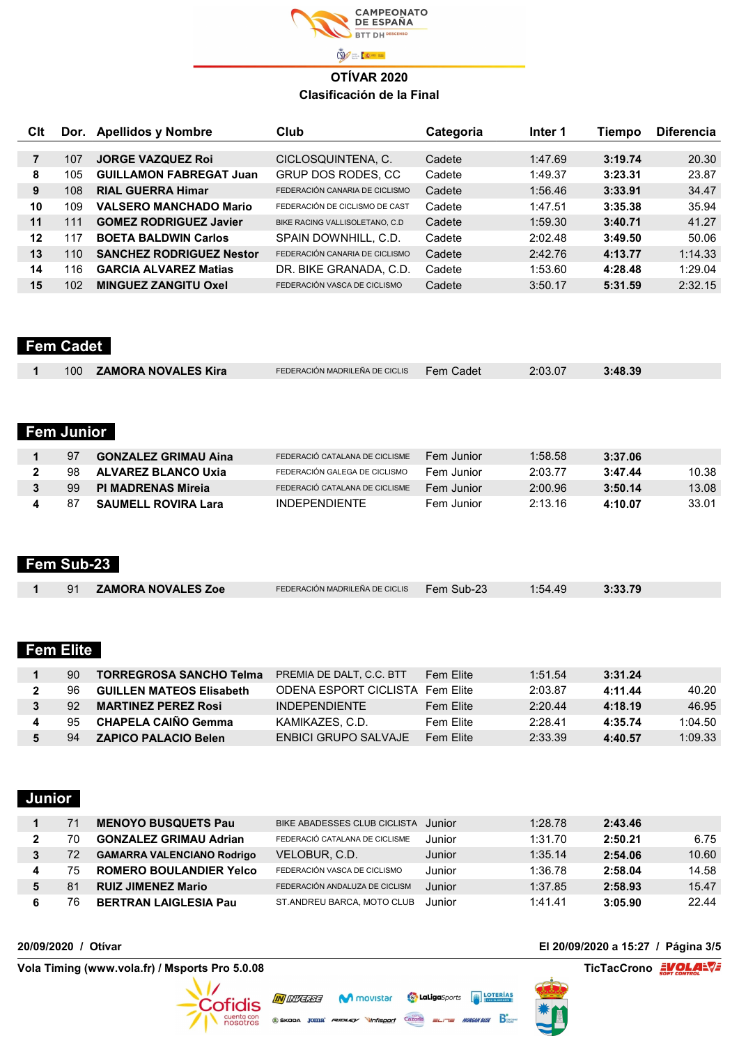

| Clt | Dor. | <b>Apellidos y Nombre</b>       | Club                            | Categoria | Inter 1 | Tiempo  | <b>Diferencia</b> |
|-----|------|---------------------------------|---------------------------------|-----------|---------|---------|-------------------|
|     |      |                                 |                                 |           |         |         |                   |
| 7   | 107  | <b>JORGE VAZQUEZ Roj</b>        | CICLOSQUINTENA, C.              | Cadete    | 1:47.69 | 3:19.74 | 20.30             |
| 8   | 105  | <b>GUILLAMON FABREGAT Juan</b>  | GRUP DOS RODES, CC              | Cadete    | 1:49.37 | 3:23.31 | 23.87             |
| 9   | 108  | <b>RIAL GUERRA Himar</b>        | FEDERACIÓN CANARIA DE CICLISMO  | Cadete    | 1:56.46 | 3:33.91 | 34.47             |
| 10  | 109  | <b>VALSERO MANCHADO Mario</b>   | FEDERACIÓN DE CICLISMO DE CAST  | Cadete    | 1:47.51 | 3:35.38 | 35.94             |
| 11  | 111  | <b>GOMEZ RODRIGUEZ Javier</b>   | BIKE RACING VALLISOLETANO, C.D. | Cadete    | 1:59.30 | 3:40.71 | 41.27             |
| 12  | 117  | <b>BOETA BALDWIN Carlos</b>     | SPAIN DOWNHILL, C.D.            | Cadete    | 2:02.48 | 3:49.50 | 50.06             |
| 13  | 110  | <b>SANCHEZ RODRIGUEZ Nestor</b> | FEDERACIÓN CANARIA DE CICLISMO  | Cadete    | 2:42.76 | 4:13.77 | 1:14.33           |
| 14  | 116  | <b>GARCIA ALVAREZ Matias</b>    | DR. BIKE GRANADA, C.D.          | Cadete    | 1:53.60 | 4:28.48 | 1:29.04           |
| 15  | 102  | <b>MINGUEZ ZANGITU Oxel</b>     | FEDERACIÓN VASCA DE CICLISMO    | Cadete    | 3:50.17 | 5:31.59 | 2:32.15           |

## Fem Cadet

|  |  | 100 | <b>ZAMORA NOVALES Kira</b> | FEDERACIÓN MADRILEÑA DE CICLIS | Fem Cadet | 2:03.07 | 3:48.39 |  |
|--|--|-----|----------------------------|--------------------------------|-----------|---------|---------|--|
|--|--|-----|----------------------------|--------------------------------|-----------|---------|---------|--|

## Fem Junior

| 97  | <b>GONZALEZ GRIMAU Aina</b> | FEDERACIÓ CATALANA DE CICLISME | Fem Junior | 1:58.58 | 3:37.06 |       |
|-----|-----------------------------|--------------------------------|------------|---------|---------|-------|
| 98. | ALVAREZ BLANCO Uxia         | FEDERACIÓN GALEGA DE CICLISMO  | Fem Junior | 2:03.77 | 3:47.44 | 10.38 |
| 99. | <b>PI MADRENAS Mireja</b>   | FEDERACIÓ CATALANA DE CICLISME | Fem Junior | 2:00.96 | 3:50.14 | 13.08 |
| 87  | <b>SAUMELL ROVIRA Lara</b>  | <b>INDEPENDIENTE</b>           | Fem Junior | 2:13.16 | 4:10.07 | 33.01 |

#### Fem Sub-23

| 91 | <b>ZAMORA NOVALES Zoe</b> | FEDERACIÓN MADRILEÑA DE CICLIS | Fem Sub-23 | 1:54.49 | 3:33.79 |
|----|---------------------------|--------------------------------|------------|---------|---------|
|    |                           |                                |            |         |         |

## Fem Elite

| -90- | TORREGROSA SANCHO Telma         | PREMIA DE DALT. C.C. BTT        | Fem Flite | 1:51.54 | 3:31.24 |         |
|------|---------------------------------|---------------------------------|-----------|---------|---------|---------|
| 96   | <b>GUILLEN MATEOS Elisabeth</b> | ODENA ESPORT CICLISTA Fem Flite |           | 2:03.87 | 4:11.44 | 40.20   |
| -92  | <b>MARTINEZ PEREZ Rosi</b>      | <b>INDEPENDIENTE</b>            | Fem Flite | 2:20.44 | 4:18.19 | 46.95   |
| 95   | CHAPELA CAIÑO Gemma             | KAMIKAZES, C.D.                 | Fem Flite | 2:28.41 | 4:35.74 | 1:04.50 |
| 94   | <b>ZAPICO PALACIO Belen</b>     | <b>FNBICI GRUPO SAI VAJF</b>    | Fem Flite | 2:33.39 | 4:40.57 | 1:09.33 |

#### Junior

|   |    | <b>MENOYO BUSQUETS Pau</b>        | BIKE ABADESSES CLUB CICLISTA Junior |        | 1:28.78 | 2:43.46 |       |
|---|----|-----------------------------------|-------------------------------------|--------|---------|---------|-------|
|   | 70 | <b>GONZALEZ GRIMAU Adrian</b>     | FEDERACIÓ CATALANA DE CICLISME      | Junior | 1:31.70 | 2:50.21 | 6.75  |
|   | 72 | <b>GAMARRA VALENCIANO Rodrigo</b> | VELOBUR, C.D.                       | Junior | 1:35.14 | 2:54.06 | 10.60 |
| 4 | 75 | <b>ROMERO BOULANDIER Yelco</b>    | FEDERACIÓN VASCA DE CICLISMO        | Junior | 1:36.78 | 2:58.04 | 14.58 |
|   | 81 | <b>RUIZ JIMENEZ Mario</b>         | FEDERACIÓN ANDALUZA DE CICLISM      | Junior | 1:37.85 | 2:58.93 | 15.47 |
| 6 | 76 | <b>BERTRAN LAIGLESIA Pau</b>      | ST.ANDREU BARCA, MOTO CLUB          | Junior | 1:41.41 | 3:05.90 | 22.44 |

 $W = 6$ 

**O LaLiga**Sports **THE LOTERÍAS** 

Cazorla

**MORGAN BLUE** 

Vola Timing (www.vola.fr) / Msports Pro 5.0.08 TicTacCrono <sub>εαγε</sub>ριασίας του Στικού του Στικού του Στικού του Σ

#### 20/09/2020 / Otívar El 20/09/2020 a 15:27 / Página 3/5



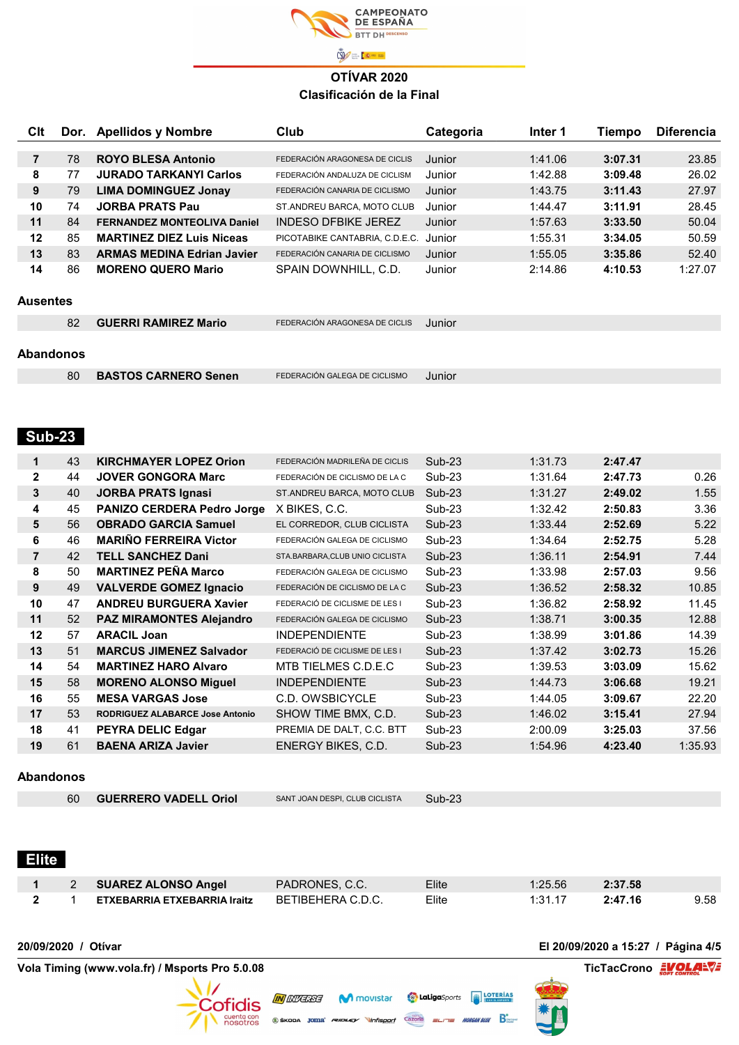

| <b>Clt</b>              | Dor. | <b>Apellidos y Nombre</b>          | Club                                  | Categoria | Inter 1 | <b>Tiempo</b> | <b>Diferencia</b> |
|-------------------------|------|------------------------------------|---------------------------------------|-----------|---------|---------------|-------------------|
| $\overline{\mathbf{7}}$ | 78   | <b>ROYO BLESA Antonio</b>          | FEDERACIÓN ARAGONESA DE CICLIS        | Junior    | 1:41.06 | 3:07.31       | 23.85             |
| 8                       | 77   | <b>JURADO TARKANYI Carlos</b>      | FEDERACIÓN ANDALUZA DE CICLISM        | Junior    | 1:42.88 | 3:09.48       | 26.02             |
| $\mathbf{9}$            | 79   | <b>LIMA DOMINGUEZ Jonay</b>        | FEDERACIÓN CANARIA DE CICLISMO        | Junior    | 1:43.75 | 3:11.43       | 27.97             |
| 10                      | 74   | <b>JORBA PRATS Pau</b>             | ST.ANDREU BARCA, MOTO CLUB            | Junior    | 1:44.47 | 3:11.91       | 28.45             |
| 11                      | 84   | <b>FERNANDEZ MONTEOLIVA Daniel</b> | <b>INDESO DFBIKE JEREZ</b>            | Junior    | 1:57.63 | 3:33.50       | 50.04             |
| 12                      | 85   | <b>MARTINEZ DIEZ Luis Niceas</b>   | PICOTABIKE CANTABRIA, C.D.E.C. Junior |           | 1:55.31 | 3:34.05       | 50.59             |
| 13                      | 83   | <b>ARMAS MEDINA Edrian Javier</b>  | FEDERACIÓN CANARIA DE CICLISMO        | Junior    | 1:55.05 | 3:35.86       | 52.40             |
| 14                      | 86   | <b>MORENO QUERO Mario</b>          | SPAIN DOWNHILL, C.D.                  | Junior    | 2:14.86 | 4:10.53       | 1:27.07           |
|                         |      |                                    |                                       |           |         |               |                   |
| <b>Ausentes</b>         |      |                                    |                                       |           |         |               |                   |
|                         | 82   | <b>GUERRI RAMIREZ Mario</b>        | FEDERACIÓN ARAGONESA DE CICLIS        | Junior    |         |               |                   |
|                         |      |                                    |                                       |           |         |               |                   |
| Abandonos               |      |                                    |                                       |           |         |               |                   |
|                         |      |                                    |                                       |           |         |               |                   |
|                         | 80   | <b>BASTOS CARNERO Senen</b>        | FEDERACIÓN GALEGA DE CICLISMO         | Junior    |         |               |                   |
|                         |      |                                    |                                       |           |         |               |                   |
|                         |      |                                    |                                       |           |         |               |                   |
| <b>Sub-23</b>           |      |                                    |                                       |           |         |               |                   |
|                         |      |                                    |                                       |           |         |               |                   |
| $\mathbf{1}$            | 43   | <b>KIRCHMAYER LOPEZ Orion</b>      | FEDERACIÓN MADRILEÑA DE CICLIS        | Sub-23    | 1:31.73 | 2:47.47       |                   |
| $\mathbf 2$             | 44   | <b>JOVER GONGORA Marc</b>          | FEDERACIÓN DE CICLISMO DE LA C        | $Sub-23$  | 1:31.64 | 2:47.73       | 0.26              |
| $\overline{\mathbf{3}}$ | 40   | <b>JORBA PRATS Ignasi</b>          | ST.ANDREU BARCA, MOTO CLUB            | Sub-23    | 1:31.27 | 2:49.02       | 1.55              |
| $\overline{\mathbf{4}}$ | 45   | PANIZO CERDERA Pedro Jorge         | X BIKES, C.C.                         | Sub-23    | 1:32.42 | 2:50.83       | 3.36              |
| 5                       | 56   | <b>OBRADO GARCIA Samuel</b>        | EL CORREDOR, CLUB CICLISTA            | Sub-23    | 1:33.44 | 2:52.69       | 5.22              |
| 6                       | 46   | <b>MARIÑO FERREIRA Victor</b>      | FEDERACIÓN GALEGA DE CICLISMO         | Sub-23    | 1:34.64 | 2:52.75       | 5.28              |
| $\overline{7}$          | 42   | <b>TELL SANCHEZ Dani</b>           | STA.BARBARA, CLUB UNIO CICLISTA       | $Sub-23$  | 1:36.11 | 2:54.91       | 7.44              |
| 8                       | 50   | <b>MARTINEZ PEÑA Marco</b>         | FEDERACIÓN GALEGA DE CICLISMO         | $Sub-23$  | 1:33.98 | 2:57.03       | 9.56              |
| $\boldsymbol{9}$        | 49   | <b>VALVERDE GOMEZ Ignacio</b>      | FEDERACIÓN DE CICLISMO DE LA C        | $Sub-23$  | 1:36.52 | 2:58.32       | 10.85             |
| 10                      | 47   | <b>ANDREU BURGUERA Xavier</b>      | FEDERACIÓ DE CICLISME DE LES I        | Sub-23    | 1:36.82 | 2:58.92       | 11.45             |
| 11                      | 52   | <b>PAZ MIRAMONTES Alejandro</b>    | FEDERACIÓN GALEGA DE CICLISMO         | $Sub-23$  | 1:38.71 | 3:00.35       | 12.88             |
| 12                      | 57   | <b>ARACIL Joan</b>                 | <b>INDEPENDIENTE</b>                  | Sub-23    | 1:38.99 | 3:01.86       | 14.39             |
| 13                      | 51   | <b>MARCUS JIMENEZ Salvador</b>     | FEDERACIÓ DE CICLISME DE LES I        | Sub-23    | 1:37.42 | 3:02.73       | 15.26             |
| 14                      | 54   | <b>MARTINEZ HARO Alvaro</b>        | MTB TIELMES C.D.E.C                   | Sub-23    | 1:39.53 | 3:03.09       | 15.62             |
| 15                      | 58   | <b>MORENO ALONSO Miguel</b>        | <b>INDEPENDIENTE</b>                  | Sub-23    | 1:44.73 | 3:06.68       | 19.21             |
| 16                      | 55   | <b>MESA VARGAS Jose</b>            | C.D. OWSBICYCLE                       | Sub-23    | 1:44.05 | 3:09.67       | 22.20             |
| 17                      | 53   | RODRIGUEZ ALABARCE Jose Antonio    | SHOW TIME BMX, C.D.                   | $Sub-23$  | 1:46.02 | 3:15.41       | 27.94             |
| 18                      | 41   | PEYRA DELIC Edgar                  | PREMIA DE DALT, C.C. BTT              | Sub-23    | 2:00.09 | 3:25.03       | 37.56             |
| 19                      | 61   | <b>BAENA ARIZA Javier</b>          | ENERGY BIKES, C.D.                    | Sub-23    | 1:54.96 | 4:23.40       | 1:35.93           |

#### Abandonos

|                     | Vola Timing (www.vola.fr) / Msports Pro 5.0.08 |                                     |                                |          |         | <b>TicTacCrono</b>                 | <b>EM OLARE</b> |
|---------------------|------------------------------------------------|-------------------------------------|--------------------------------|----------|---------|------------------------------------|-----------------|
| 20/09/2020 / Otivar |                                                |                                     |                                |          |         | El 20/09/2020 a 15:27 / Página 4/5 |                 |
| 2                   | 1                                              | <b>ETXEBARRIA ETXEBARRIA Iraitz</b> | BETIBEHERA C.D.C.              | Elite    | 1:31.17 | 2:47.16                            | 9.58            |
| 1                   | 2                                              | <b>SUAREZ ALONSO Angel</b>          | PADRONES, C.C.                 | Elite    | 1:25.56 | 2:37.58                            |                 |
| <b>Elite</b>        |                                                |                                     |                                |          |         |                                    |                 |
|                     | 60                                             | <b>GUERRERO VADELL Oriol</b>        | SANT JOAN DESPI, CLUB CICLISTA | $Sub-23$ |         |                                    |                 |
| ADAHUUHUS           |                                                |                                     |                                |          |         |                                    |                 |

**My INVERSE COMMUNISTER CONDUCTED LOTERIAS** 

 $\circledast$ skopa joma *rubley* vinfisport  $\overline{\text{Cacc}}$ ta  $\equiv$ 

Cofidis

**Exercía de Estados**